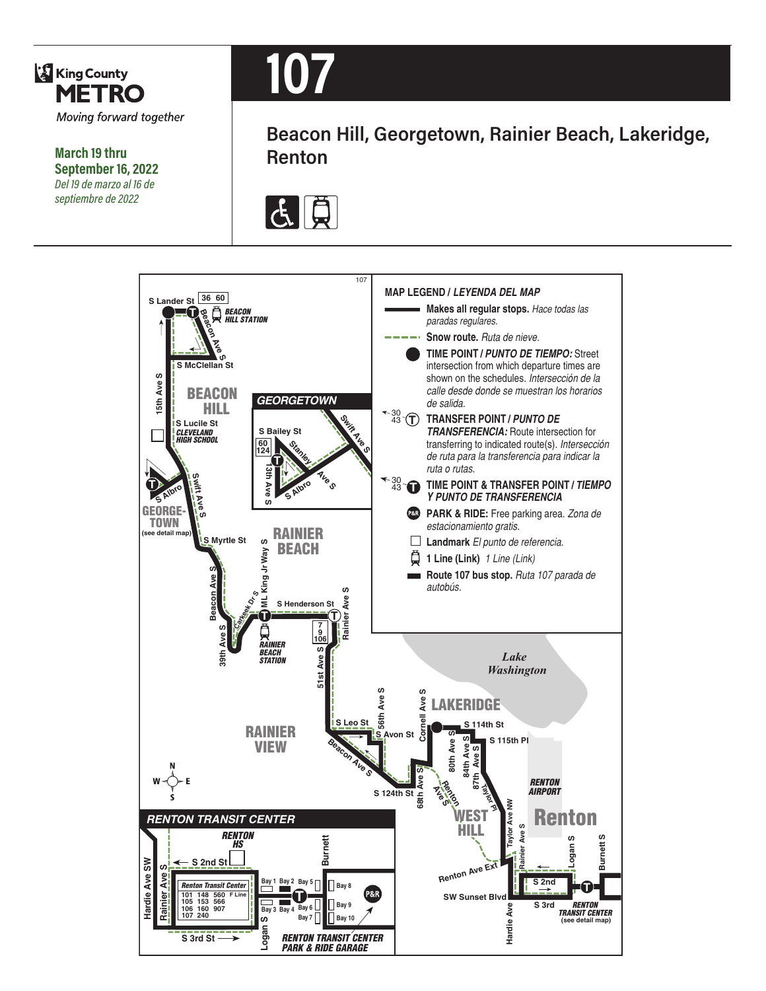

**March 19 thru September 16, 2022** *Del 19 de marzo al 16 de septiembre de 2022*



**Beacon Hill, Georgetown, Rainier Beach, Lakeridge, Renton**



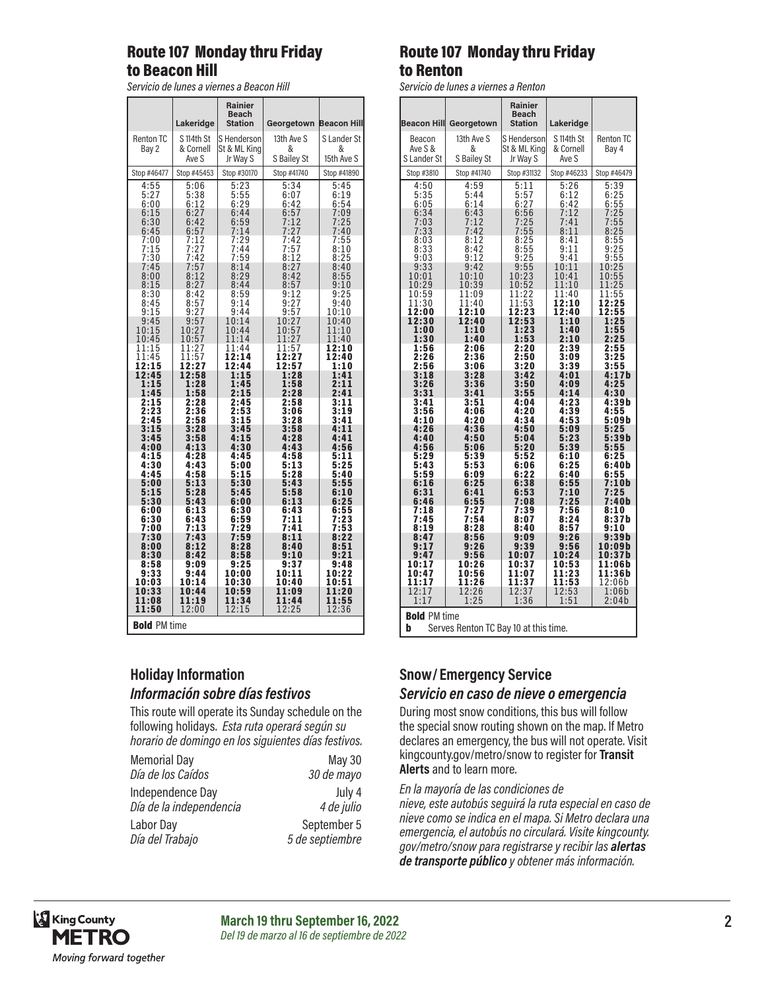### Route 107 Monday thru Friday to Beacon Hill

*Servicio de lunes a viernes a Beacon Hill*

|                                                      | Lakeridge                                    | <b>Rainier</b><br>Beach<br><b>Station</b>                   | Georgetown                                   | <b>Beacon Hill</b>                                   |
|------------------------------------------------------|----------------------------------------------|-------------------------------------------------------------|----------------------------------------------|------------------------------------------------------|
| <b>Renton TC</b><br>Bay 2                            | S 114th St<br>& Cornell<br>Ave S             | S Henderson<br>St & ML King<br>Jr Way S                     | 13th Ave S<br>&<br>S Bailey St               | S Lander St<br>&<br>15th Ave S                       |
| Stop #46477                                          | Stop #45453                                  | Stop #30170                                                 | Stop #41740                                  | Stop #41890                                          |
| 4:55<br>5:27<br>6:00<br>6:15<br>6:30<br>6:45<br>7:00 | 5:06<br>5:38<br>6:12<br>6:27<br>6:42<br>6:57 | $\frac{5:23}{5:55}$<br>6:29<br>6:44<br>6:59<br>7:14<br>7:29 | 5:34<br>6:07<br>6:42<br>6:57<br>7:12<br>7:27 | 5:45<br>6:19<br>6:54<br>7:09<br>7:25<br>7:40<br>7:55 |
| 7:15                                                 | 7:12<br>7:27                                 | 7:44                                                        | 7:42<br>7:57                                 | 8:10                                                 |
| 7:30                                                 | 7:42                                         | 7:59                                                        | 8:12                                         | 8:25                                                 |
| 7:45<br>8:00<br>8:15<br>8:30                         | 7:57<br>:12<br>8<br>8:27<br>8:42             | 8:14<br>8:29<br>8:44<br>8:59                                | 8:27<br>8:42<br>8:57                         | 8:40<br>8:55<br>9:10<br>9:25                         |
| 8:45                                                 | 8:57                                         | 9:14                                                        | $\frac{9:12}{9:27}$                          | 9:40                                                 |
| 9:15                                                 | 9:27                                         | 9:44                                                        | 9:57                                         | 10:10                                                |
| 9:45                                                 | 9:57                                         | 10:14                                                       | 10:27                                        | 10:40                                                |
| 10:15                                                | 10:27                                        | 10:44                                                       | 10:57                                        | 11:10                                                |
| 10:45                                                | 10:57                                        | 11:14                                                       | 11:27                                        | 11:40                                                |
| 11:15                                                | 11:27                                        | 11:44                                                       | 11:57                                        | 12:10                                                |
| 11:45                                                | 11:57                                        | 12:14                                                       | 12:27                                        | 12:40                                                |
| 12:15                                                | 12:27                                        | 12:44                                                       | $\overline{1}\overline{2}:57$                | 1:10                                                 |
| 12:45                                                | 12:58                                        | 1:15                                                        | 1:28                                         | 1:41                                                 |
| 1:15                                                 | 1:28                                         | 1:45                                                        | 1:58                                         | 2:11                                                 |
| 1:45                                                 | 1:58                                         | 2:15                                                        | 2:28                                         | 2:41                                                 |
| 2:15                                                 | 2:28                                         | 2:45                                                        | 2:58                                         | 3:11                                                 |
| 2:23                                                 | 2:36                                         | 2:53                                                        | 3:06                                         | 3:19                                                 |
| 2:45                                                 | $\bar{2}:\!\bar{5}\,\bar{8}$                 | 3:15                                                        | 3:28                                         | 3:41                                                 |
| 3:15                                                 | 3:28                                         | 3:45                                                        | 3:58                                         | 4:11                                                 |
| 3:45                                                 | 3:58                                         | 4:15                                                        | 4:28                                         | 4:41                                                 |
| 4:00                                                 | 4:13                                         | 4:30                                                        | 4:43                                         | 4:56                                                 |
| 4:15                                                 | 4:28                                         | 4:45                                                        | 4:58                                         | 5:11                                                 |
| 4:30                                                 | 4:43                                         | 5:00                                                        | 5:13                                         | 5:25                                                 |
| 4:45                                                 | 4:58                                         | 5:15                                                        | 5:28                                         | 5:40                                                 |
| 5:00                                                 | 5:13                                         | 5:30                                                        | 5:43                                         | 5:55                                                 |
| 5:15                                                 | 5:28                                         | 5:45                                                        | 5:58                                         | 6:10                                                 |
| 5:30                                                 | 5:43                                         | 6:00                                                        | 6:13                                         | 6:25                                                 |
| 6:00                                                 | 6:13                                         | 6:30                                                        | 6:43                                         | 6:55                                                 |
| 6:30                                                 | 6:43                                         | 6:59                                                        | 7:11                                         | 7:23                                                 |
| 7:00                                                 | 7:13                                         | 7:29                                                        | 7:41                                         | 7:53                                                 |
| 7:30                                                 | 7:43                                         | 7:59                                                        | 8:11                                         | 8:22                                                 |
| 8:00                                                 | 8:12                                         | 8:28                                                        | 8:40                                         | 8:51                                                 |
| 8:30                                                 | 8:42                                         | 8:58                                                        | 9:10                                         | 9:21                                                 |
| 8:58                                                 | 9:09                                         | 9:25                                                        | 9:37                                         | 9:48                                                 |
| 9:33                                                 | 9:44                                         | 10:00                                                       | 10:11                                        | 10:22                                                |
| 10:03                                                | 10:14                                        | 10:30                                                       | 10:40                                        | 10:51                                                |
| 10:33                                                | 10:44                                        | 10:59                                                       | 11:09                                        | 11:20                                                |
| 11:08                                                | 11:19                                        | 11:34                                                       | 11:44                                        | 11:55                                                |
| 11:50                                                | 12:00                                        | 12:15                                                       | 12:25                                        | 12:36                                                |
| <b>Bold PM time</b>                                  |                                              |                                                             |                                              |                                                      |

# **Holiday Information** *Información sobre días festivos*

This route will operate its Sunday schedule on the following holidays. *Esta ruta operará según su horario de domingo en los siguientes días festivos.*

| <b>Memorial Day</b>     | May 30          |
|-------------------------|-----------------|
| Día de los Caídos       | 30 de mayo      |
| Independence Day        | July 4          |
| Día de la independencia | 4 de julio      |
| Labor Day               | September 5     |
| Día del Trabajo         | 5 de septiembre |

## Route 107 Monday thru Friday to Renton

*Servicio de lunes a viernes a Renton*

|                                                                   |                                | <b>Rainier</b><br><b>Beach</b>          |                                  |                                |
|-------------------------------------------------------------------|--------------------------------|-----------------------------------------|----------------------------------|--------------------------------|
| <b>Beacon Hill</b>                                                | Georgetown                     | <b>Station</b>                          | Lakeridge                        |                                |
| Beacon<br>Ave S &<br>S Lander St                                  | 13th Ave S<br>&<br>S Bailey St | S Henderson<br>St & ML King<br>Jr Way S | S 114th St<br>& Cornell<br>Ave S | <b>Renton TC</b><br>Bay 4      |
| Stop #3810                                                        | Stop #41740                    | Stop #31132                             | Stop #46233                      | Stop #46479                    |
| 4:50<br>5:35<br>6:05                                              | 4:59<br>5:44<br>6:14           | 5:11<br>$5:57$<br>$6:27$<br>$6:56$      | 5:26<br>6:12<br>6:42             | $5:39$<br>6:25<br>6:55<br>7:25 |
| 6:34<br>7:03<br>7:33                                              | 6:43<br>7:12<br>7:42           | $7:25$<br>$7:55$                        | 7:12<br>7:41<br>8:11             | $7:55$<br>$8:25$               |
| 8:03<br>8:33<br>9:03                                              | $\frac{8:12}{8:42}$<br>9:12    | $\frac{8:25}{8:55}$<br>9:25             | 8:41<br>9:11<br>9:41             | $8:55$<br>$9:25$<br>9:55       |
| 9:33                                                              | 9:42                           | 9:55                                    | 10:11                            | 10:25                          |
| 10:01                                                             | 10:10                          | 10:23                                   | 10:41                            | 10:55                          |
| 10:29                                                             | 10:39                          | 10:52                                   | 11:10                            | 11:25                          |
| 10:59<br>11:30<br>12:00                                           | 11:09<br>11:40<br>12:10        | 11:22<br>11:53<br>12:23                 | 11:40<br><u>12:10</u><br>12:40   | 11:55<br>12:25<br>12:55        |
| 12:30                                                             | 12:40                          | 12:53                                   | 1:10                             | 1:25                           |
| 1:00                                                              | 1:10                           | 1:23                                    | 1:40                             | 1:55                           |
| 1:30                                                              | 1:40                           | 1:53                                    | 2:10                             | 2:25                           |
| 1:56                                                              | 2:06                           | 2:20                                    | 2:39                             | 2:55                           |
| 2:26                                                              | 2:36                           | 2:50                                    | 3:09                             | 3:25                           |
| 2:56                                                              | 3:06                           | 3:20                                    | 3:39                             | 3:55                           |
| 3:18                                                              | 3:28                           | 3:42                                    | 4:01                             | 4:17b                          |
| 3:26                                                              | 3:36                           | 3:50                                    | 4:09                             | 4:25                           |
| 3:31                                                              | 3:41                           | 3:55                                    | 4:14                             | 4:30                           |
| 3:41                                                              | 3:51                           | 4:04                                    | 4:23                             | 4:39b                          |
| 3:56                                                              | 4:06                           | 4:20                                    | 4:39                             | 4:55                           |
| 4:10                                                              | 4:20                           | 4:34                                    | 4:53                             | 5:09b                          |
| 4:26                                                              | 4:36                           | 4:50                                    | 5:09                             | 5:25                           |
| 4:40                                                              | 4:50                           | 5:04                                    | 5:23                             | 5:39b                          |
| 4:56                                                              | 5:06                           | 5:20                                    | 5:39                             | 5:55                           |
| 5:29                                                              | 5:39                           | 5:52                                    | 6:10                             | 6:25                           |
| 5:43                                                              | 5:53                           | 6:06                                    | 6:25                             | 6:40b                          |
| 5:59                                                              | 6:09                           | 6:22                                    | 6:40                             | 6:55                           |
| 6:16                                                              | 6:25                           | 6:38                                    | 6:55                             | 7:10b                          |
| 6:31                                                              | 6:41                           | 6:53                                    | 7:10                             | 7:25                           |
| 6:46                                                              | 6:55                           | 7:08                                    | 7:25                             | 7:40b                          |
| 7:18                                                              | 7:27                           | 7:39                                    | 7:56                             | 8:10                           |
| 7:45                                                              | 7:54                           | 8:07                                    | 8:24                             | 8:37b                          |
| 8:19                                                              | 8:28                           | 8:40                                    | 8:57                             | 9:10                           |
| 8:47                                                              | 8:56                           | 9:09                                    | 9:26                             | 9:39b                          |
| 9:17                                                              | 9:26                           | 9:39                                    | 9:56                             | 10:09b                         |
| 9:47                                                              | 9:56                           | 10:07                                   | 10:24                            | 10:37b                         |
| 10:17                                                             | 10:26                          | 10:37                                   | 10:53                            | 11:06b                         |
| 10:47                                                             | 10:56                          | 11:07                                   | 11:23                            | 11:36b                         |
| 11:17                                                             | 11:26                          | 11:37                                   | 11:53                            | 12:06b                         |
| 12:17                                                             | 12:26                          | 12:37                                   | 12:53                            | 1:06b                          |
| 1:17                                                              | 1:25                           | 1:36                                    | 1:51                             | 2:04b                          |
| <b>Bold PM time</b><br>b<br>Serves Renton TC Bay 10 at this time. |                                |                                         |                                  |                                |

### **Snow/ Emergency Service**  *Servicio en caso de nieve o emergencia*

During most snow conditions, this bus will follow the special snow routing shown on the map. If Metro declares an emergency, the bus will not operate. Visit kingcounty.gov/metro/snow to register for **Transit Alerts** and to learn more.

#### *En la mayoría de las condiciones de*

*nieve, este autobús seguirá la ruta especial en caso de nieve como se indica en el mapa. Si Metro declara una emergencia, el autobús no circulará. Visite kingcounty. gov/metro/snow para registrarse y recibir las alertas de transporte público y obtener más información.*

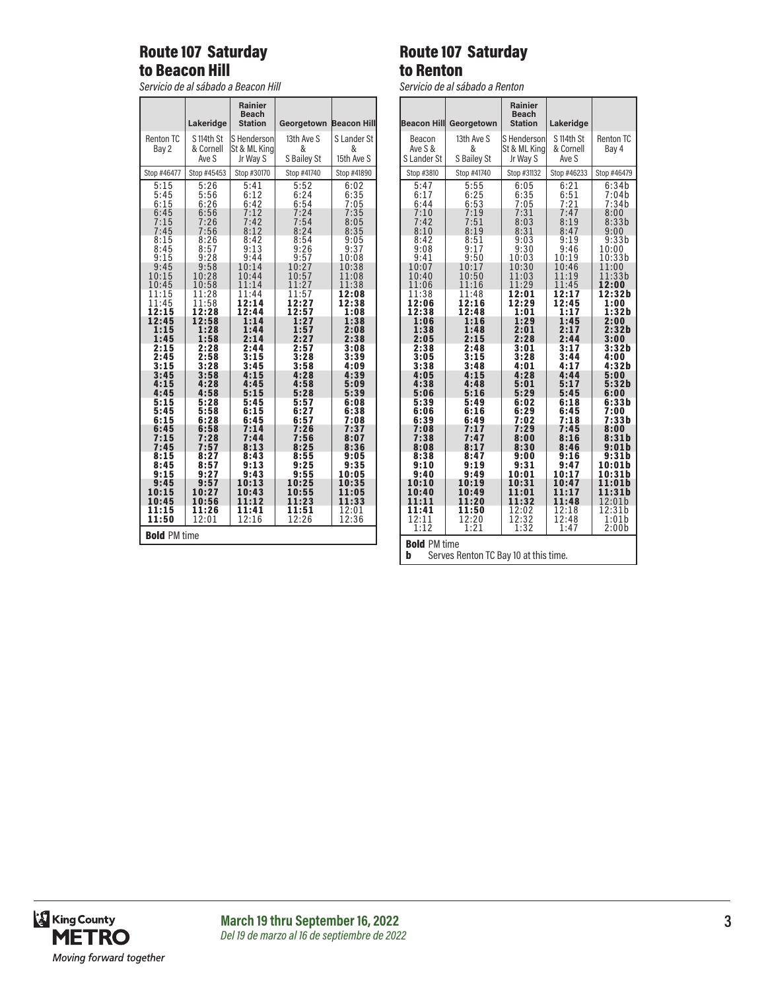# Route 107 Saturday to Beacon Hill

*Servicio de al sábado a Beacon Hill*

|                           | Lakeridge                        | Rainier<br><b>Beach</b><br><b>Station</b> | Georgetown                     | <b>Beacon Hill</b>             |
|---------------------------|----------------------------------|-------------------------------------------|--------------------------------|--------------------------------|
| <b>Renton TC</b><br>Bay 2 | S 114th St<br>& Cornell<br>Ave S | S Henderson<br>St & ML Kina<br>Jr Way S   | 13th Ave S<br>&<br>S Bailey St | S Lander St<br>&<br>15th Ave S |
| Stop #46477               | Stop #45453                      | Stop #30170                               | Stop #41740                    | Stop #41890                    |
| 5:15                      | 5:26                             | 5:41                                      | 5:52                           | 6:02                           |
| 5:45                      | 5:56                             | 6:12                                      | 6:24                           | 6:35                           |
| 6:15                      | 6:26                             | 6:42                                      | 6:54                           | 7:05                           |
| 6:45                      | 6:56                             | 7:12                                      | 7:24                           | 7:35                           |
| 7:15                      | 7:26                             | 7:42                                      | 7:54                           | 8:05                           |
| 7:45                      | 7:56                             | 8:12                                      | 8:24                           | 8:35                           |
| 8:15                      | 8:26                             | 8:42                                      | 8:54                           | 9:05                           |
| 8:45                      | 8:57                             | 9:13                                      | 9:26                           | 9:37                           |
| 9:15                      | 9:28                             | 9:44                                      | 9:57                           | 10:08                          |
| 9:45                      | 9:58                             | 10:14                                     | 10:27                          | 10:38                          |
| 10:15                     | 10:28                            | 10:44                                     | 10:57                          | 11:08                          |
| 10:45                     | 10:58                            | 11:14                                     | 11:27                          | 11:38                          |
| 11:15<br>11:45<br>12:15   | 11:28<br>11:58<br>12:28          | 11:44<br>12:14<br>12:44                   | 11:57<br>12:27<br>12:57        | 12:08<br>2:38<br>1<br>1:08     |
| 12:45                     | 12:58                            | 1:14                                      | 27                             | 1:38                           |
| 1:15                      | 1:28                             | 1:44                                      | 1:57                           | 2:08                           |
| 1:45                      | 1:58                             | 2:14                                      | 2:27                           | 2:38                           |
| 2:15                      | 2:28                             | 2:44                                      | 2:57                           | 3:08                           |
| 2:45                      | 2:58                             | 3:15                                      | 3:28                           | 3:39                           |
| 3:15                      | 3:28                             | 3:45                                      | 3:58                           | 4:09                           |
| 3:45                      | 3:58                             | 4:15                                      | 4:28                           | 4:39                           |
| 4:15                      | 4:28                             | 4:45                                      | 4:58                           | 5:09                           |
| 4:45                      | 4:58                             | 5:15                                      | 5:28                           | 5:39                           |
| 5:15                      | 5:28                             | 5:45                                      | 5:57                           | 6:08                           |
| 5:45                      | 5:58                             | 6:15                                      | 6:27                           | 6:38                           |
| 6:15                      | 6:28                             | 6:45                                      | 6:57                           | 7:08                           |
| 6:45<br>7:15<br>7:45      | 6:58<br>7:28<br>7:57             | 7:14<br>7:44<br>8:13                      | 7:<br>26<br>7:56<br>8:25       | 7:37<br>8:07<br>8:36           |
| 8:15                      | 8:27                             | 8:43                                      | 8:55                           | 9:05                           |
| 8:45                      | 8:57                             | 9:13                                      | 9:25                           | 9:35                           |
| 9:15                      | 9:27                             | 9:43                                      | 9:55                           | 10:05                          |
| 9:45<br>10:15<br>10:45    | 9:57<br>10:27<br>10:56           | 10:13<br>10:43<br>1<br>1:12               | 10:25<br>10:55<br>1:<br>23     | 10:35<br>11:05<br>11:33        |
| 11:15                     | 11:26                            | 11:41                                     | 11:51                          | 12:01                          |
| 11:50                     | 12:01                            | 12:16                                     | 12:26                          | 12:36                          |
| <b>Bold PM time</b>       |                                  |                                           |                                |                                |

### Route 107 Saturday to Renton

*Servicio de al sábado a Renton*

| <b>Beacon Hill</b>                           | Georgetown                                   | <b>Rainier</b><br><b>Beach</b><br><b>Station</b> | Lakeridge                                    |                                                              |
|----------------------------------------------|----------------------------------------------|--------------------------------------------------|----------------------------------------------|--------------------------------------------------------------|
| Beacon<br>Ave S &<br>S Lander St             | 13th Ave S<br>&<br>S Bailey St               | S Henderson<br>St & ML Kina<br>Jr Way S          | S 114th St<br>& Cornell<br>Ave S             | <b>Renton TC</b><br>Bay 4                                    |
| Stop #3810                                   | Stop #41740                                  | Stop #31132                                      | Stop #46233                                  | Stop #46479                                                  |
| 5:47<br>6:17<br>6:44<br>7:10<br>7:42<br>8:10 | 5:55<br>6:25<br>6:53<br>7:19<br>7:51<br>8:19 | 6:05<br>6:35<br>7:05<br>7:31<br>8:03<br>8:31     | 6:21<br>6:51<br>7:21<br>7:47<br>8:19         | 6:34b<br>7:04b<br>7:34b<br>8:00<br>8:33b                     |
| 8:42<br>9:08<br>9:41<br>10:07                | 8:51<br>9:17<br>9:50<br>10:17                | 9:03<br>9:30<br>10:03<br>10:30                   | 8:47<br>9:19<br>9:46<br>10:19<br>10:46       | 9:00<br>9:33b<br>10:00<br>10:33b<br>11:00                    |
| 10:40<br>11:06<br>11:38<br>12:06             | 10:50<br>11:16<br>11:48<br>12:16             | 11:03<br>11:29<br>12:01<br>12:29                 | 11:19<br>11:45<br>12:17<br>12:45             | 11:33b<br>12:00<br>12:32b<br>1:00                            |
| 12:38<br>1:06<br>1:38<br>2:05<br>2:38        | 12:48<br>1:16<br>1:48<br>2:15<br>2:48        | 1:01<br>1:29<br>2:01<br>2:28<br>3:01             | 1:17<br>1:45<br>2:17<br>2:44<br>3:17         | 1:32 b<br>2:00<br>2:32b<br>3:00<br>3:32 <sub>b</sub><br>4:00 |
| 3:05<br>3:38<br>4:05<br>4:38<br>5:06<br>5:39 | 3:15<br>3:48<br>4:15<br>4:48<br>5:16<br>5:49 | 3:28<br>4:01<br>4:28<br>5:01<br>5:29<br>6:02     | 3:44<br>4:17<br>4:44<br>5:17<br>5:45<br>6:18 | 4:32b<br>5:00<br>5:32b<br>6:00<br>6:33b                      |
| 6:06<br>6:39<br>7:08<br>7:38<br>8:08         | 6:16<br>6:49<br>7:17<br>7:47<br>8:17         | 6:29<br>7:02<br>7:29<br>8:00<br>8:30             | 6:45<br>7:18<br>7:45<br>8:16<br>8:46         | 7:00<br>7:33b<br>8:00<br>8:31b<br>9:01b                      |
| 8:38<br>9:10<br>9:40<br>10:10                | 8:47<br>9:19<br>9:49<br>10:19                | 9:00<br>9:31<br>10:01<br>10:31                   | 9:16<br>9:47<br>10:17<br>10:47               | 9:31b<br>10:01b<br>10:31b<br>1:01b                           |
| 10:40<br>11:11<br>11:41<br>12:11<br>1:12     | 10:49<br>11:20<br>11:50<br>12:20<br>1:21     | 11:01<br>11:32<br>12:02<br>12:32<br>1:32         | 11:17<br>11:48<br>12:18<br>12:48<br>1:47     | 11:31b<br>12:01b<br>12:31b<br>1:01b<br>2:00b                 |
| <b>Bold PM time</b>                          |                                              |                                                  |                                              |                                                              |

**b** Serves Renton TC Bay 10 at this time.